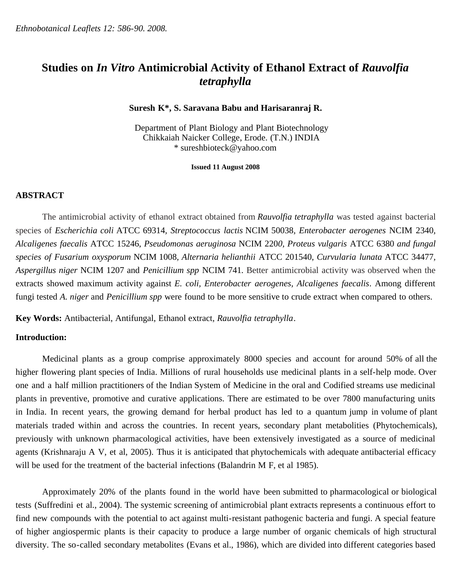# **Studies on** *In Vitro* **Antimicrobial Activity of Ethanol Extract of** *Rauvolfia tetraphylla*

## **Suresh K\*, S. Saravana Babu and Harisaranraj R.**

Department of Plant Biology and Plant Biotechnology Chikkaiah Naicker College, Erode. (T.N.) INDIA \* sureshbioteck@yahoo.com

**Issued 11 August 2008**

# **ABSTRACT**

The antimicrobial activity of ethanol extract obtained from *Rauvolfia tetraphylla* was tested against bacterial species of *Escherichia coli* ATCC 69314*, Streptococcus lactis* NCIM 50038*, Enterobacter aerogenes* NCIM 2340*, Alcaligenes faecalis* ATCC 15246, *Pseudomonas aeruginosa* NCIM 220*0, Proteus vulgaris* ATCC 6380 *and fungal species of Fusarium oxysporum* NCIM 1008*, Alternaria helianthii* ATCC 201540, *Curvularia lunata* ATCC 34477*, Aspergillus niger* NCIM 1207 and *Penicillium spp* NCIM 741*.* Better antimicrobial activity was observed when the extracts showed maximum activity against *E. coli, Enterobacter aerogenes, Alcaligenes faecalis*. Among different fungi tested *A. niger* and *Penicillium spp* were found to be more sensitive to crude extract when compared to others.

**Key Words:** Antibacterial, Antifungal, Ethanol extract, *Rauvolfia tetraphylla*.

# **Introduction:**

Medicinal plants as a group comprise approximately 8000 species and account for around 50% of all the higher flowering plant species of India. Millions of rural households use medicinal plants in a self-help mode. Over one and a half million practitioners of the Indian System of Medicine in the oral and Codified streams use medicinal plants in preventive, promotive and curative applications. There are estimated to be over 7800 manufacturing units in India. In recent years, the growing demand for herbal product has led to a quantum jump in volume of plant materials traded within and across the countries. In recent years, secondary plant metabolities (Phytochemicals), previously with unknown pharmacological activities, have been extensively investigated as a source of medicinal agents (Krishnaraju A V, et al, 2005). Thus it is anticipated that phytochemicals with adequate antibacterial efficacy will be used for the treatment of the bacterial infections (Balandrin M F, et al 1985).

Approximately 20% of the plants found in the world have been submitted to pharmacological or biological tests (Suffredini et al., 2004). The systemic screening of antimicrobial plant extracts represents a continuous effort to find new compounds with the potential to act against multi-resistant pathogenic bacteria and fungi. A special feature of higher angiospermic plants is their capacity to produce a large number of organic chemicals of high structural diversity. The so-called secondary metabolites (Evans et al., 1986), which are divided into different categories based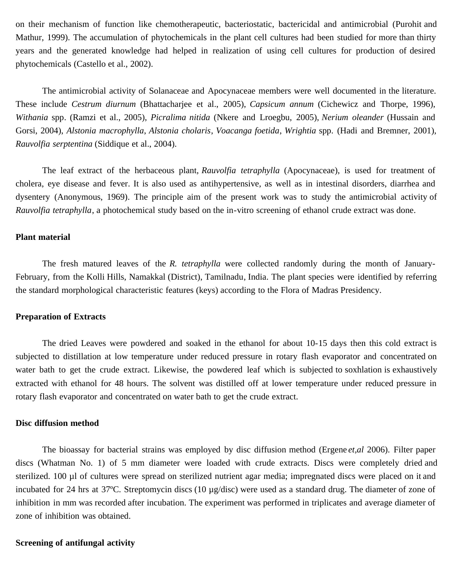on their mechanism of function like chemotherapeutic, bacteriostatic, bactericidal and antimicrobial (Purohit and Mathur, 1999). The accumulation of phytochemicals in the plant cell cultures had been studied for more than thirty years and the generated knowledge had helped in realization of using cell cultures for production of desired phytochemicals (Castello et al., 2002).

The antimicrobial activity of Solanaceae and Apocynaceae members were well documented in the literature. These include *Cestrum diurnum* (Bhattacharjee et al., 2005), *Capsicum annum* (Cichewicz and Thorpe, 1996), *Withania* spp*.* (Ramzi et al., 2005), *Picralima nitida* (Nkere and Lroegbu, 2005), *Nerium oleander* (Hussain and Gorsi, 2004), *Alstonia macrophylla*, *Alstonia cholaris*, *Voacanga foetida*, *Wrightia* spp. (Hadi and Bremner, 2001), *Rauvolfia serptentina* (Siddique et al., 2004).

The leaf extract of the herbaceous plant, *Rauvolfia tetraphylla* (Apocynaceae), is used for treatment of cholera, eye disease and fever. It is also used as antihypertensive, as well as in intestinal disorders, diarrhea and dysentery (Anonymous, 1969). The principle aim of the present work was to study the antimicrobial activity of *Rauvolfia tetraphylla*, a photochemical study based on the in-vitro screening of ethanol crude extract was done.

## **Plant material**

The fresh matured leaves of the *R. tetraphylla* were collected randomly during the month of January-February, from the Kolli Hills, Namakkal (District), Tamilnadu, India. The plant species were identified by referring the standard morphological characteristic features (keys) according to the Flora of Madras Presidency.

## **Preparation of Extracts**

The dried Leaves were powdered and soaked in the ethanol for about 10-15 days then this cold extract is subjected to distillation at low temperature under reduced pressure in rotary flash evaporator and concentrated on water bath to get the crude extract. Likewise, the powdered leaf which is subjected to soxhlation is exhaustively extracted with ethanol for 48 hours. The solvent was distilled off at lower temperature under reduced pressure in rotary flash evaporator and concentrated on water bath to get the crude extract.

#### **Disc diffusion method**

The bioassay for bacterial strains was employed by disc diffusion method (Ergene *et,al* 2006). Filter paper discs (Whatman No. 1) of 5 mm diameter were loaded with crude extracts. Discs were completely dried and sterilized. 100 µl of cultures were spread on sterilized nutrient agar media; impregnated discs were placed on it and incubated for 24 hrs at 37ºC. Streptomycin discs (10 µg/disc) were used as a standard drug. The diameter of zone of inhibition in mm was recorded after incubation. The experiment was performed in triplicates and average diameter of zone of inhibition was obtained.

#### **Screening of antifungal activity**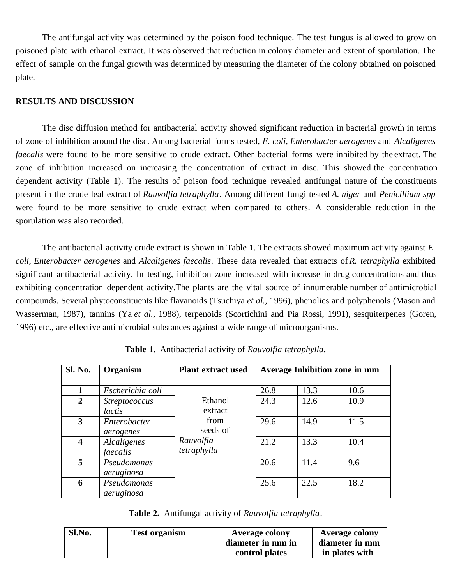The antifungal activity was determined by the poison food technique. The test fungus is allowed to grow on poisoned plate with ethanol extract. It was observed that reduction in colony diameter and extent of sporulation. The effect of sample on the fungal growth was determined by measuring the diameter of the colony obtained on poisoned plate.

# **RESULTS AND DISCUSSION**

The disc diffusion method for antibacterial activity showed significant reduction in bacterial growth in terms of zone of inhibition around the disc. Among bacterial forms tested, *E. coli, Enterobacter aerogenes* and *Alcaligenes faecalis* were found to be more sensitive to crude extract. Other bacterial forms were inhibited by the extract. The zone of inhibition increased on increasing the concentration of extract in disc. This showed the concentration dependent activity (Table 1). The results of poison food technique revealed antifungal nature of the constituents present in the crude leaf extract of *Rauvolfia tetraphylla*. Among different fungi tested *A. niger* and *Penicillium spp* were found to be more sensitive to crude extract when compared to others. A considerable reduction in the sporulation was also recorded.

The antibacterial activity crude extract is shown in Table 1. The extracts showed maximum activity against *E. coli, Enterobacter aerogenes* and *Alcaligenes faecalis*. These data revealed that extracts of *R. tetraphylla* exhibited significant antibacterial activity. In testing, inhibition zone increased with increase in drug concentrations and thus exhibiting concentration dependent activity.The plants are the vital source of innumerable number of antimicrobial compounds. Several phytoconstituents like flavanoids (Tsuchiya *et al.,* 1996), phenolics and polyphenols (Mason and Wasserman, 1987), tannins (Ya *et al.,* 1988), terpenoids (Scortichini and Pia Rossi, 1991), sesquiterpenes (Goren, 1996) etc., are effective antimicrobial substances against a wide range of microorganisms.

| Sl. No.                 | Organism             | <b>Plant extract used</b> | <b>Average Inhibition zone in mm</b> |      |      |
|-------------------------|----------------------|---------------------------|--------------------------------------|------|------|
|                         |                      |                           |                                      |      |      |
| 1                       | Escherichia coli     |                           | 26.8                                 | 13.3 | 10.6 |
| $\overline{2}$          | <i>Streptococcus</i> | Ethanol                   | 24.3                                 | 12.6 | 10.9 |
|                         | lactis               | extract                   |                                      |      |      |
| 3                       | Enterobacter         | from                      | 29.6                                 | 14.9 | 11.5 |
|                         | aerogenes            | seeds of                  |                                      |      |      |
| $\overline{\mathbf{4}}$ | Alcaligenes          | Rauvolfia                 | 21.2                                 | 13.3 | 10.4 |
|                         | faecalis             | tetraphylla               |                                      |      |      |
| 5                       | Pseudomonas          |                           | 20.6                                 | 11.4 | 9.6  |
|                         | aeruginosa           |                           |                                      |      |      |
| 6                       | Pseudomonas          |                           | 25.6                                 | 22.5 | 18.2 |
|                         | aeruginosa           |                           |                                      |      |      |

**Table 1.** Antibacterial activity of *Rauvolfia tetraphylla.*

|  | Table 2. Antifungal activity of Rauvolfia tetraphylla. |
|--|--------------------------------------------------------|
|--|--------------------------------------------------------|

| Sl.No. | <b>Test organism</b> | <b>Average colony</b><br>diameter in mm in | <b>Average colony</b><br>diameter in mm |
|--------|----------------------|--------------------------------------------|-----------------------------------------|
|        |                      | control plates                             | in plates with                          |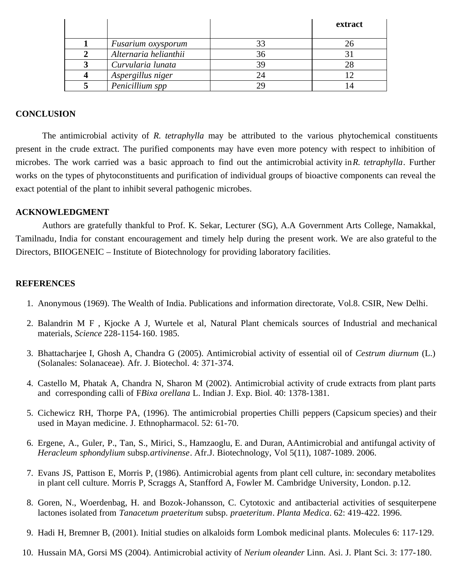|                       | extract |
|-----------------------|---------|
| Fusarium oxysporum    |         |
| Alternaria helianthii |         |
| Curvularia lunata     |         |
| Aspergillus niger     |         |
| Penicillium spp       |         |

# **CONCLUSION**

The antimicrobial activity of *R. tetraphylla* may be attributed to the various phytochemical constituents present in the crude extract. The purified components may have even more potency with respect to inhibition of microbes. The work carried was a basic approach to find out the antimicrobial activity in *R. tetraphylla*. Further works on the types of phytoconstituents and purification of individual groups of bioactive components can reveal the exact potential of the plant to inhibit several pathogenic microbes.

## **ACKNOWLEDGMENT**

Authors are gratefully thankful to Prof. K. Sekar, Lecturer (SG), A.A Government Arts College, Namakkal, Tamilnadu, India for constant encouragement and timely help during the present work. We are also grateful to the Directors, BIIOGENEIC – Institute of Biotechnology for providing laboratory facilities.

## **REFERENCES**

- 1. Anonymous (1969). The Wealth of India. Publications and information directorate, Vol.8. CSIR, New Delhi.
- 2. Balandrin M F , Kjocke A J, Wurtele et al, Natural Plant chemicals sources of Industrial and mechanical materials, *Science* 228-1154-160. 1985.
- 3. Bhattacharjee I, Ghosh A, Chandra G (2005). Antimicrobial activity of essential oil of *Cestrum diurnum* (L.) (Solanales: Solanaceae). Afr. J. Biotechol. 4: 371-374.
- 4. Castello M, Phatak A, Chandra N, Sharon M (2002). Antimicrobial activity of crude extracts from plant parts and corresponding calli of F*Bixa orellana* L. Indian J. Exp. Biol. 40: 1378-1381.
- 5. Cichewicz RH, Thorpe PA, (1996). The antimicrobial properties Chilli peppers (Capsicum species) and their used in Mayan medicine. J. Ethnopharmacol. 52: 61-70.
- 6. Ergene, A., Guler, P., Tan, S., Mirici, S., Hamzaoglu, E. and Duran, AAntimicrobial and antifungal activity of *Heracleum sphondylium* subsp.*artivinense*. Afr.J. Biotechnology, Vol 5(11), 1087-1089. 2006.
- 7. Evans JS, Pattison E, Morris P, (1986). Antimicrobial agents from plant cell culture, in: secondary metabolites in plant cell culture. Morris P, Scraggs A, Stanfford A, Fowler M. Cambridge University, London. p.12.
- 8. Goren, N., Woerdenbag, H. and Bozok-Johansson, C. Cytotoxic and antibacterial activities of sesquiterpene lactones isolated from *Tanacetum praeteritum* subsp. *praeteritum*. *Planta Medica*. 62: 419-422. 1996.
- 9. Hadi H, Bremner B, (2001). Initial studies on alkaloids form Lombok medicinal plants. Molecules 6: 117-129.
- 10. Hussain MA, Gorsi MS (2004). Antimicrobial activity of *Nerium oleander* Linn. Asi. J. Plant Sci. 3: 177-180.